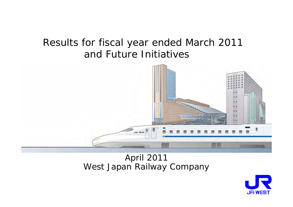# Results for fiscal year ended March 2011 and Future Initiatives



# April 2011 West Japan Railway Company

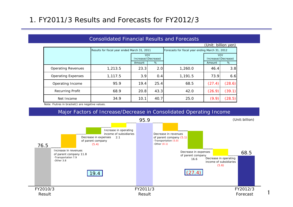## 1. FY2011/3 Results and Forecasts for FY2012/3

|                           |                                              |                                   |      |                                                 | (Unit: billion yen) |                                   |  |
|---------------------------|----------------------------------------------|-----------------------------------|------|-------------------------------------------------|---------------------|-----------------------------------|--|
|                           | Results for fiscal year ended March 31, 2011 |                                   |      | Forecasts for fiscal year ending March 31, 2012 |                     |                                   |  |
|                           |                                              | <b>YOY</b><br>Increase/(Decrease) |      |                                                 |                     | <b>YOY</b><br>Increase/(Decrease) |  |
|                           |                                              | Amount                            | %    |                                                 | Amount              | %                                 |  |
| <b>Operating Revenues</b> | 1,213.5                                      | 23.3                              | 2.0  | 1,260.0                                         | 46.4                | 3.8                               |  |
| <b>Operating Expenses</b> | 1,117.5                                      | 3.9                               | 0.4  | 1,191.5                                         | 73.9                | 6.6                               |  |
| Operating Income          | 95.9                                         | 19.4                              | 25.4 | 68.5                                            | (27.4)              | (28.6)                            |  |
| <b>Recurring Profit</b>   | 68.9                                         | 20.8                              | 43.3 | 42.0                                            | (26.9)              | (39.1)                            |  |
| Net Income                | 34.9                                         | 10.1                              | 40.7 | 25.0                                            | (9.9)               | (28.5)                            |  |

Consolidated Financial Results and Forecasts

Note: Fiutres in bracket() are negative values.

#### Major Factors of Increase/Decrease in Consolidated Operating Income



1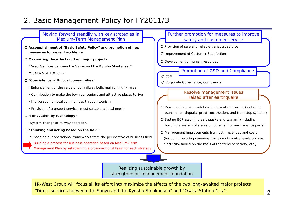## 2. Basic Management Policy for FY2011/3

#### ○ **Accomplishment of "Basic Safety Policy" and promotion of new measures to prevent accidents**  ○ **Maximizing the effects of two major projects** "Direct Services between the Sanyo and the Kyushu Shinkansen" "OSAKA STATION CITY"○ **"Coexistence with local communities"** ・ Enhancement of the value of our railway belts mainly in Kinki area ・ Contribution to make the town convenient and attractive places to live ・ Invigoration of local communities through tourism ・ Provision of transport services most suitable to local needs ○ **"Innovation by technology"** ・System change of railway operation ○ **"Thinking and acting based on the field"** ・ "Changing our operational frameworks from the perspective of business field" ○ Measures to ensure safety in the event of disaster (including tsunami, earthquake-proof construction, and train stop system.) ○ Setting BCP assuming earthquake and tsunami (including building a system of stable procurement of maintenance parts) ○ Management improvements from both revenues and costs (including securing revenues, revision of service levels such as electricity-saving on the basis of the trend of society, etc.) Resolve management issues raised after earthquake Moving forward steadily with key strategies in Medium-Term Management Plan Realizing sustainable growth by ○ Provision of safe and reliable transport service ○ Improvement of Customer Satisfaction ○ Development of human resources Further promotion for measures to improve safety and customer service ○ CSR ○ Corporate Governance, Compliance Promotion of CSR and Compliance Building a process for business operation based on Medium-Term Management Plan by establishing a cross-sectional team for each strategy

strengthening management foundation

JR-West Group will focus all its effort into maximize the effects of the two long-awaited major projects "Direct services between the Sanyo and the Kyushu Shinkansen" and "Osaka Station City".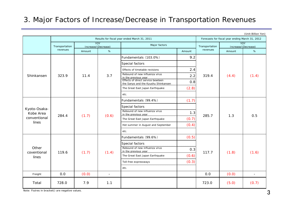## 3. Major Factors of Increase/Decrease in Transportation Revenues

|                      |                |        | Results for fiscal year ended March 31, 2011 |                                                                          |        | Forecasts for fiscal year ending March 31, 2012 | (Unit: Billion Yen)               |                          |
|----------------------|----------------|--------|----------------------------------------------|--------------------------------------------------------------------------|--------|-------------------------------------------------|-----------------------------------|--------------------------|
|                      | Transportation |        | <b>YOY</b><br>Increase/(Decrease)            | Major factors                                                            |        | Transportation                                  | <b>YOY</b><br>Increase/(Decrease) |                          |
|                      | revenues       | Amount | $\%$                                         |                                                                          | Amount | revenues                                        | Amount                            | $\%$                     |
|                      |                |        |                                              | Fundamentals (103.0%)                                                    | 9.2    |                                                 |                                   |                          |
|                      |                |        |                                              | Special factors                                                          |        |                                                 |                                   |                          |
|                      |                |        |                                              | Effects of timetable revisions                                           | 2.4    |                                                 |                                   |                          |
| Shinkansen           | 323.9          | 11.4   | 3.7                                          | Rebound of new influenza virus<br>in the previous year                   | 2.2    | 319.4                                           | (4.4)                             | (1.4)                    |
|                      |                |        |                                              | Effects of direct service bewteen<br>the Sanyo and the Kyushu Shinkansen | 0.8    |                                                 |                                   |                          |
|                      |                |        |                                              | The Great East Japan Earthquake                                          | (2.8)  |                                                 |                                   |                          |
|                      |                |        | etc.                                         |                                                                          |        |                                                 |                                   |                          |
|                      |                |        |                                              | Fundamentals (99.4%)                                                     | (1.7)  |                                                 | 1.3                               |                          |
| Kyoto-Osaka-         |                |        | (0.6)                                        | Special factors                                                          |        |                                                 |                                   |                          |
| Kobe Area            | 284.4          | (1.7)  |                                              | Rebound of new influenza virus<br>in the previous year                   | 1.3    | 285.7                                           |                                   | 0.5                      |
| conventional         |                |        |                                              | The Great East Japan Earthquake                                          | (0.7)  |                                                 |                                   |                          |
| lines                |                |        |                                              | Hot summer in August and September                                       | (0.4)  |                                                 |                                   |                          |
|                      |                |        |                                              | etc.                                                                     |        |                                                 |                                   |                          |
|                      |                |        |                                              | Fundamentals (99.6%)                                                     | (0.5)  |                                                 |                                   |                          |
|                      |                |        |                                              | Special factors                                                          |        |                                                 |                                   |                          |
| Other<br>coventional | 119.6          | (1.7)  | (1.4)                                        | Rebound of new influenza virus<br>in the previous year                   | 0.3    | 117.7                                           | (1.8)                             | (1.6)                    |
| lines                |                |        |                                              | The Great East Japan Earthquake                                          | (0.6)  |                                                 |                                   |                          |
|                      |                |        |                                              | Toll-free expressways                                                    | (0.3)  |                                                 |                                   |                          |
|                      |                |        |                                              | etc.                                                                     |        |                                                 |                                   |                          |
| Freight              | 0.0            | (0.0)  | $\overline{\phantom{a}}$                     |                                                                          |        | 0.0                                             | (0.0)                             | $\overline{\phantom{a}}$ |
| Total                | 728.0          | 7.9    | 1.1                                          |                                                                          |        | 723.0                                           | (5.0)                             | (0.7)                    |

Note: Fiutres in bracket() are negative values.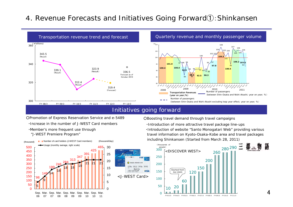## <sup>4</sup>. Revenue Forecasts and Initiatives Going Forward①:Shinkansen





#### Initiatives going forward

○Promotion of Express Reservation Service and e-5489

・Increase in the number of J-WEST Card members

・Member's more frequent use through "J-WEST Premiere Program"



O OSAKA STATION CITY 986 5812 3456 7890 TAKO HISBITRIRON **VISA** <J-WEST Card>

○Boosting travel demand through travel campaigns

・Introduction of more attractive travel package line-ups ・Introduction of website "Santo Monogatari Web" providing various travel information on Kyoto-Osaka-Kobe area and travel packages including Shinkansen (Started from March 28, 2011)

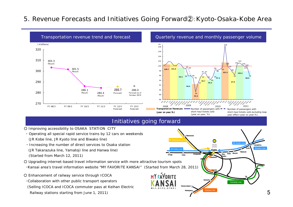### 5. Revenue Forecasts and Initiatives Going Forward②:Kyoto-Osaka-Kobe Area



- Enhancement of railway service through ICOCA
- ・Collaboration with other public transport operators
- (Selling ICOCA and ICOCA commuter pass at Keihan Electric
- Railway stations starting from June 1, 2011)

Hanwa Line

Sakaishi

Kansai-airport Wakayama Yamatoji Line

Oji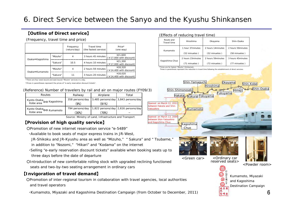## 6. Direct Service between the Sanyo and the Kyushu Shinkansen

#### 【**Outline of Direct service**】

(Frequency, travel time and price)

|                 |          | Frequency<br>(return/day) | Travel time<br>(the fastest service) | Price*<br>(one way)                  |
|-----------------|----------|---------------------------|--------------------------------------|--------------------------------------|
| Osaka⇔Kagoshima | "Mizuho" | 4                         | 3 hours 45 minutes                   | ¥21.600<br>$(*17,000$ with discount) |
|                 | "Sakura" | 10.5                      | 4 hours 10 minutes                   | ¥21.300<br>$(*17,000$ with discount) |
| Osaka⇔Kumamoto  | "Mizuho" | 4                         | 2 hours 59 minutes                   | ¥18,320<br>(¥14,400 with discount)   |
|                 | "Sakura" | 11                        | 3 hours 20 minutes                   | ¥18.020<br>$(*14,400$ with discount) |

\*There are four west-bound and east-bound "Mizuho" services in a day.

\*Prices in parentheses represent the prices of "e-early reservation discount tickets".

#### (Reference) Number of travelers by rail and air on major routes (FY09/3)

| Routes                                | Airplane<br>Railway |                                     | Total                               |
|---------------------------------------|---------------------|-------------------------------------|-------------------------------------|
| Kyoto-Osaka-<br>Kobe area → Kagoshima | 358 persons/day     |                                     | 3,485 persons/day 3,843 persons/day |
|                                       | (9%)                | (91%)                               |                                     |
| Kyoto-Osaka<br>Kobe area<br>Kobe area | 794 persons/day     | 1,822 persons/day 2,616 persons/day |                                     |
|                                       | (30%)               | 70%)                                |                                     |

Source: Ministry of Land, Infrastructure and Transport

#### 【**Provision of high quality service**】

○Promotion of new internet reservation service "e-5489"

- ・Available to book seats of major express trains in JR-West,
- JR-Shikoku and JR-Kyushu area as well as "Mizuho," " Sakura" and " Tsubame,"
- in addition to "Nozomi," "Hikari" and "Kodama" on the internet
- ・Selling "e-early reservation discount tickets" available when booking seats up to three days before the date of departure
- ○Introduction of new comfortable rolling stock with upgraded reclining functioned seats and two-by-two seating arrangement in ordinary cars

#### 【**Invigoration of travel demand**】

○Promotion of inter-regional tourism in collaboration with travel agencies, local authorities and travel operators

・Kumamoto, Miyazaki and Kagoshima Destination Campaign (from October to December, 2011)

#### (Effects of reducing travel time)

| Route and<br>Travel time      | Hiroshima          | Okayama            | Shin-Osaka         |
|-------------------------------|--------------------|--------------------|--------------------|
| 1 hour 37 minutes<br>Kumamoto |                    | 2 hours 14 minutes | 2 hours 59 minutes |
|                               | (52 minuetes)      | (52 minuetes)      | (58 minuetes)      |
|                               |                    |                    |                    |
| Kagoshima-Chuo                | 2 hours 23 minutes | 2 hours 59 minutes | 3 hours 45 minutes |

\*Times are for fastest "Mizuho" Shinkansen.

Times in parenthesis represent the reduciton in travel time following the establishment of direct services.

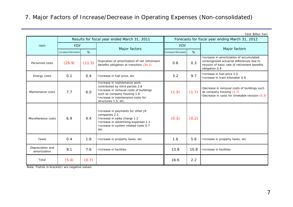### 7. Major Factors of Increase/Decrease in Operating Expenses (Non-consolidated)

|                                  |                     |        |                                                                                                                                                                                                        |                                                 |       | (Unit: Billion Yen)                                                                                                                                       |  |
|----------------------------------|---------------------|--------|--------------------------------------------------------------------------------------------------------------------------------------------------------------------------------------------------------|-------------------------------------------------|-------|-----------------------------------------------------------------------------------------------------------------------------------------------------------|--|
|                                  |                     |        | Results for fiscal year ended March 31, 2011                                                                                                                                                           | Forecasts for fiscal year ending March 31, 2012 |       |                                                                                                                                                           |  |
| Item                             | <b>YOY</b>          |        |                                                                                                                                                                                                        | <b>YOY</b>                                      |       |                                                                                                                                                           |  |
|                                  | Increase/(Decrease) | %      | Major factors                                                                                                                                                                                          | Increase/(Decrease)                             | %     | Major factors                                                                                                                                             |  |
| Personnel costs                  | (29.9)              | (11.3) | Expiration of amortization of net retirement<br>benefits obligation at transition (30.1)                                                                                                               | 0.6                                             | 0.3   | · Increase in amortization of accumulated<br>unrecognized actuarial differences due to<br>revision of basic rate of retirement benefits<br>obligation 0.8 |  |
| Energy costs                     | 0.1                 | 0.4    | Increase in fuel price, etc                                                                                                                                                                            | 3.2                                             | 9.7   | ·Increase in fuel price 2.0<br>·Increase in train-kilometer 0.9                                                                                           |  |
| Maintenance costs                | 7.7                 | 6.0    | Increase in maintenance work<br>contributed by third parties 2.8<br>Increase in removal costs of buildings<br>such as company housing 1.8<br>Increase in maintenance costs for<br>structures 1.5, etc. | (2.3)                                           | (1.7) | ·Decrease in removal costs of buildings such<br>as company housing (1.7)<br>Decrease in costs for timetable revision (0.3)                                |  |
| Miscellaneous costs              | 6.9                 | 4.4    | Increase in payments for other JR<br>companies 2.2<br>·Increase in sales charge 1.2<br>· Increase in advertising expenses 1.1<br>· Increase in system related costs 0.7<br>etc.                        | (0.3)                                           | (0.2) |                                                                                                                                                           |  |
| Taxes                            | 0.4                 | 1.6    | · Increase in property taxes, etc.                                                                                                                                                                     | 1.6                                             | 5.6   | ·Increase in property taxes, etc.                                                                                                                         |  |
| Depreciation and<br>amortization | 9.1                 | 7.6    | Increase in facilities                                                                                                                                                                                 | 13.8                                            | 10.8  | ·Increase in facilities                                                                                                                                   |  |
| Total                            | (5.4)               | (0.7)  |                                                                                                                                                                                                        | 16.6                                            | 2.2   |                                                                                                                                                           |  |

Note: Fiutres in bracket() are negative values.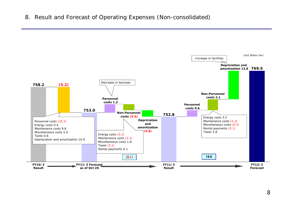8. Result and Forecast of Operating Expenses (Non-consolidated)

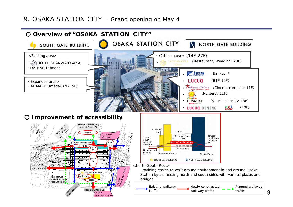### 9. OSAKA STATION CITY - Grand opening on May 4

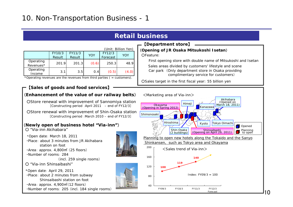## **Retail business**

| (Unit: Billion Yen) |        |        |            |          |       |  |
|---------------------|--------|--------|------------|----------|-------|--|
|                     | FY10/3 | FY11/3 | <b>YOY</b> | FY12/3   | YOY   |  |
|                     | Result | Result |            | Forecast |       |  |
| Operating           | 201.9  | 201.3  | (0.6)      | 250.3    | 48.9  |  |
| Revenues*           |        |        |            |          |       |  |
| Operating           |        |        |            |          |       |  |
| Income              | 3.1    | 3.5    | 0.4        | (0.5)    | (4.0) |  |

\*Operating revenues are the revenues from third parties  $($  = customers).

#### 【**Sales of goods and food services**】

#### **(Enhancement of the value of our railway belts)** <Marketing area of Via-inn>

OStore renewal with improvement of Sannomiya station [Constructing period :April 2011 – end of FY12/3]

O Store renewal with improvement of Shin-Osaka station [Constructing period :March 2010 – end of FY12/3]

#### (**Newly open of business hotel "Via-inn"**)

○ "Via-inn Akihabara"

・Open date: March 18, 2011 ・Place: about 3 minutes from JR Akihabara station on foot

・Area: approx. 4,800㎡ (25 floors)

・Number of rooms: 284

(incl. 259 single rooms)

○ "Via-inn Shinsaibashi"

・Open date: April 29, 2011

・Place: about 2 minutes from subway Shinsaibashi station on foot

・Area: approx. 4,900㎡(12 floors)

・Number of rooms: 205 (incl. 184 single rooms)



#### 【**Department store**】

### (**Opening of JR Osaka Mitsukoshi Isetan**)

○Feature:

First opening store with double name of Mitsukoshi and Isetan

Sales areas divided by customers' lifestyle and scene

Car park (Only department store in Osaka providing complimentary service for customers)

○Sales target in the first fiscal year: 55 billion yen



10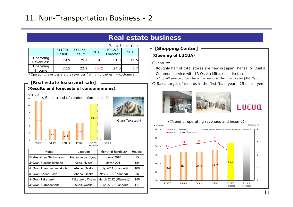## **Real estate business**

| (Unit: Billion Yen) |        |        |       |          |      |  |
|---------------------|--------|--------|-------|----------|------|--|
|                     | FY10/3 | FY11/3 | YOY   | FY12/3   | YOY  |  |
|                     | Result | Result |       | Forecast |      |  |
| Operating           | 70.9   | 75.7   | 4.8   | 91.3     | 15.5 |  |
| Revenues*           |        |        |       |          |      |  |
| Operating           | 22.5   | 22.2   | (0.2) | 24.0     | 17   |  |
| Income              |        |        |       |          |      |  |

\*Operating revenues are the revenues from third parties  $($  = customers $)$ .



#### ○Feature: Roughly half of total stores are new in Japan, Kansai or Osaka. Common service with JR Osaka Mitsukoshi Isetan(**Opening of LUCUA**) 【**Shopping Center**】

- (Drop off service of baggies and wheel char, Point service for JRMI Card)
- Sales target of tenants in the first fiscal year:**:** 25 billion yen





# LUCUQ

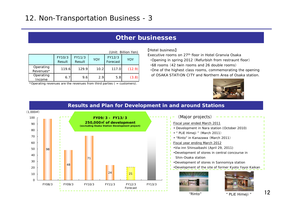### **Other businesses**

|                        |                  |                  |            |                    | (Unit: Billion Yen) |
|------------------------|------------------|------------------|------------|--------------------|---------------------|
|                        | FY10/3<br>Result | FY11/3<br>Result | <b>YOY</b> | FY12/3<br>Forecast | YOY                 |
| Operating<br>Revenues* | 119.6            | 129.9            | 10.2       | 117.0              | (12.9)              |
| Operating<br>Income    | 6.7              | 9.6              | 2.9        | 5.8                | (3.8)               |

\*Operating revenues are the revenues from third parties  $($  = customers).

#### 【Hotel business】

Executive rooms on 27th floor in Hotel Granvia Osaka

・Opening in spring 2012 (Refurbish from restraunt floor)

・68 rooms (42 twin rooms and 26 double rooms)

・One of the highest class rooms, commemorating the opening of OSAKA STATION CITY and Northern Area of Osaka station.



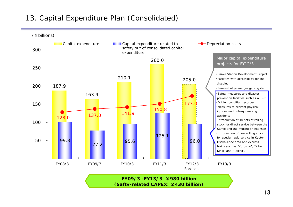## 13. Capital Expenditure Plan (Consolidated)



**(Safty-related CAPEX:** ¥**430 billion)**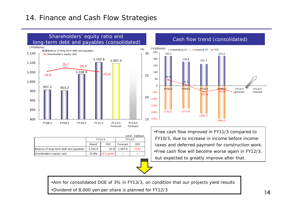## 14. Finance and Cash Flow Strategies



| $(Unit: \&\text{billion})$             |         |               |          |       |  |  |
|----------------------------------------|---------|---------------|----------|-------|--|--|
|                                        | FY11/3  |               | FY12/3   |       |  |  |
|                                        | Result  | YOY           | Forecast | YOY   |  |  |
| Balance of long-term debt and payables | 1.102.6 | 63.6          | 1.097.0  | (5.6) |  |  |
| Shareholder's equity ratio             | 25.8%   | $(0.5$ point) |          |       |  |  |



•Free cash flow improved in FY11/3 compared to FY10/3, due to increase in income before income taxes and deferred payment for construction work. •Free cash flow will become worse again in FY12/3, but expected to greatly improve after that.

•Aim for consolidated DOE of 3% in FY13/3, on condition that our projects yield results •Dividend of 8,000 yen per share is planned for FY12/3